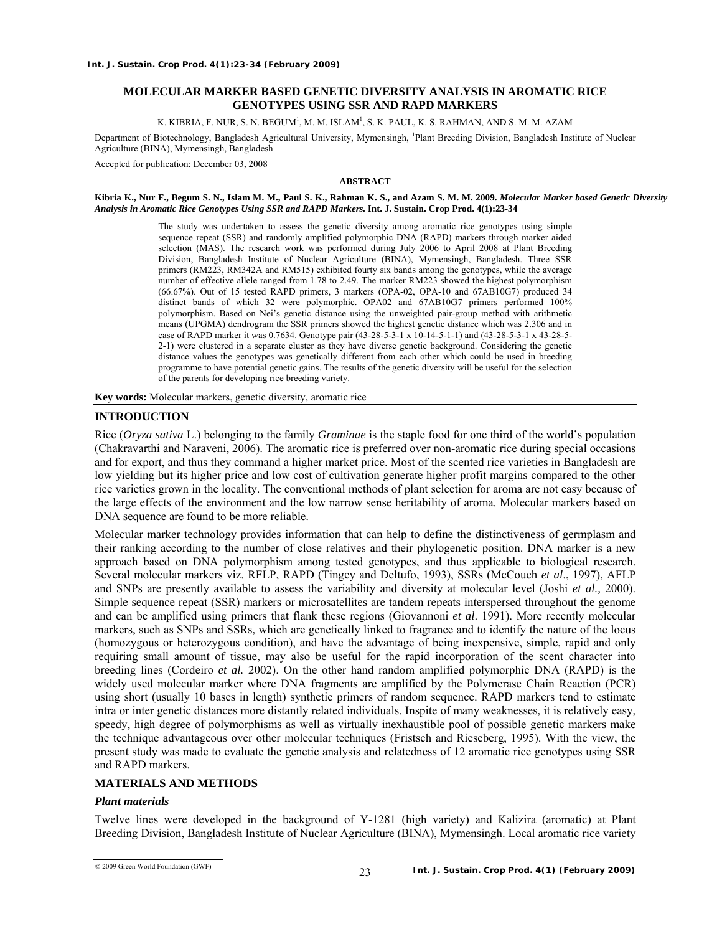### **MOLECULAR MARKER BASED GENETIC DIVERSITY ANALYSIS IN AROMATIC RICE GENOTYPES USING SSR AND RAPD MARKERS**

K. KIBRIA, F. NUR, S. N. BEGUM<sup>i</sup>, M. M. ISLAM<sup>i</sup>, S. K. PAUL, K. S. RAHMAN, AND S. M. M. AZAM

Department of Biotechnology, Bangladesh Agricultural University, Mymensingh, <sup>1</sup>Plant Breeding Division, Bangladesh Institute of Nuclear Agriculture (BINA), Mymensingh, Bangladesh

Accepted for publication: December 03, 2008

#### **ABSTRACT**

**Kibria K., Nur F., Begum S. N., Islam M. M., Paul S. K., Rahman K. S., and Azam S. M. M. 2009.** *Molecular Marker based Genetic Diversity Analysis in Aromatic Rice Genotypes Using SSR and RAPD Markers.* **Int. J. Sustain. Crop Prod. 4(1):23-34** 

> The study was undertaken to assess the genetic diversity among aromatic rice genotypes using simple sequence repeat (SSR) and randomly amplified polymorphic DNA (RAPD) markers through marker aided selection (MAS). The research work was performed during July 2006 to April 2008 at Plant Breeding Division, Bangladesh Institute of Nuclear Agriculture (BINA), Mymensingh, Bangladesh. Three SSR primers (RM223, RM342A and RM515) exhibited fourty six bands among the genotypes, while the average number of effective allele ranged from 1.78 to 2.49. The marker RM223 showed the highest polymorphism (66.67%). Out of 15 tested RAPD primers, 3 markers (OPA-02, OPA-10 and 67AB10G7) produced 34 distinct bands of which 32 were polymorphic. OPA02 and 67AB10G7 primers performed 100% polymorphism. Based on Nei's genetic distance using the unweighted pair-group method with arithmetic means (UPGMA) dendrogram the SSR primers showed the highest genetic distance which was 2.306 and in case of RAPD marker it was 0.7634. Genotype pair (43-28-5-3-1 x 10-14-5-1-1) and (43-28-5-3-1 x 43-28-5- 2-1) were clustered in a separate cluster as they have diverse genetic background. Considering the genetic distance values the genotypes was genetically different from each other which could be used in breeding programme to have potential genetic gains. The results of the genetic diversity will be useful for the selection of the parents for developing rice breeding variety.

**Key words:** Molecular markers, genetic diversity, aromatic rice

#### **INTRODUCTION**

Rice (*Oryza sativa* L.) belonging to the family *Graminae* is the staple food for one third of the world's population (Chakravarthi and Naraveni, 2006). The aromatic rice is preferred over non-aromatic rice during special occasions and for export, and thus they command a higher market price. Most of the scented rice varieties in Bangladesh are low yielding but its higher price and low cost of cultivation generate higher profit margins compared to the other rice varieties grown in the locality. The conventional methods of plant selection for aroma are not easy because of the large effects of the environment and the low narrow sense heritability of aroma. Molecular markers based on DNA sequence are found to be more reliable.

Molecular marker technology provides information that can help to define the distinctiveness of germplasm and their ranking according to the number of close relatives and their phylogenetic position. DNA marker is a new approach based on DNA polymorphism among tested genotypes, and thus applicable to biological research. Several molecular markers viz. RFLP, RAPD (Tingey and Deltufo, 1993), SSRs (McCouch *et al*., 1997), AFLP and SNPs are presently available to assess the variability and diversity at molecular level (Joshi *et al.,* 2000). Simple sequence repeat (SSR) markers or microsatellites are tandem repeats interspersed throughout the genome and can be amplified using primers that flank these regions (Giovannoni *et al*. 1991). More recently molecular markers, such as SNPs and SSRs, which are genetically linked to fragrance and to identify the nature of the locus (homozygous or heterozygous condition), and have the advantage of being inexpensive, simple, rapid and only requiring small amount of tissue, may also be useful for the rapid incorporation of the scent character into breeding lines (Cordeiro *et al.* 2002). On the other hand random amplified polymorphic DNA (RAPD) is the widely used molecular marker where DNA fragments are amplified by the Polymerase Chain Reaction (PCR) using short (usually 10 bases in length) synthetic primers of random sequence. RAPD markers tend to estimate intra or inter genetic distances more distantly related individuals. Inspite of many weaknesses, it is relatively easy, speedy, high degree of polymorphisms as well as virtually inexhaustible pool of possible genetic markers make the technique advantageous over other molecular techniques (Fristsch and Rieseberg, 1995). With the view, the present study was made to evaluate the genetic analysis and relatedness of 12 aromatic rice genotypes using SSR and RAPD markers.

# **MATERIALS AND METHODS**

#### *Plant materials*

Twelve lines were developed in the background of Y-1281 (high variety) and Kalizira (aromatic) at Plant Breeding Division, Bangladesh Institute of Nuclear Agriculture (BINA), Mymensingh. Local aromatic rice variety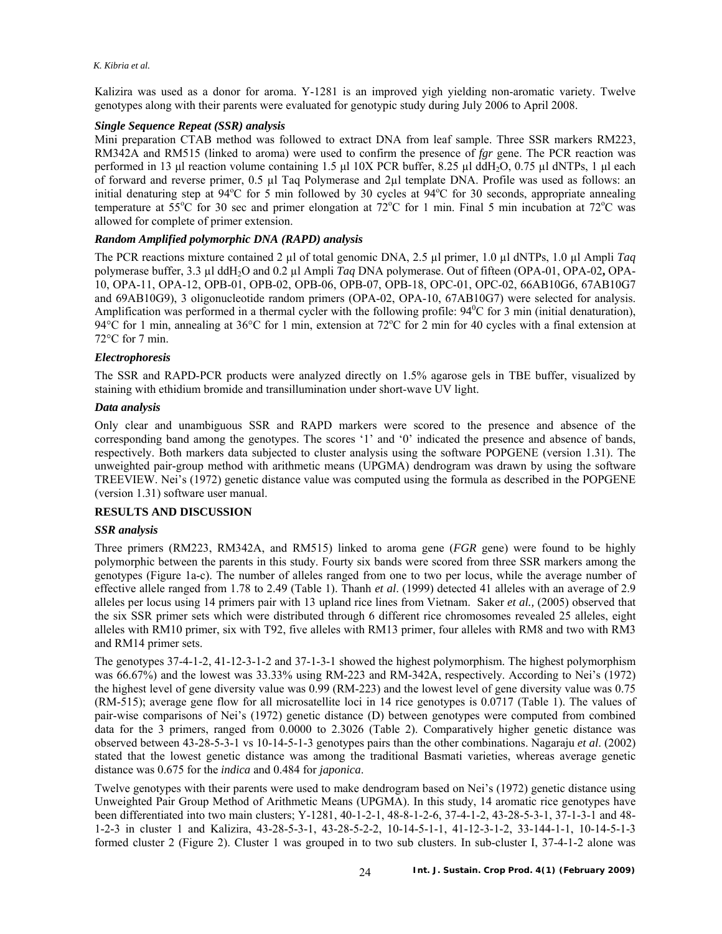Kalizira was used as a donor for aroma. Y-1281 is an improved yigh yielding non-aromatic variety. Twelve genotypes along with their parents were evaluated for genotypic study during July 2006 to April 2008.

# *Single Sequence Repeat (SSR) analysis*

Mini preparation CTAB method was followed to extract DNA from leaf sample. Three SSR markers RM223, RM342A and RM515 (linked to aroma) were used to confirm the presence of *fgr* gene. The PCR reaction was performed in 13 μl reaction volume containing 1.5 μl 10X PCR buffer, 8.25 μl ddH<sub>2</sub>O, 0.75 μl dNTPs, 1 μl each of forward and reverse primer, 0.5 µl Taq Polymerase and 2µl template DNA. Profile was used as follows: an initial denaturing step at 94°C for 5 min followed by 30 cycles at 94°C for 30 seconds, appropriate annealing temperature at  $55^{\circ}$ C for 30 sec and primer elongation at  $72^{\circ}$ C for 1 min. Final 5 min incubation at  $72^{\circ}$ C was allowed for complete of primer extension.

# *Random Amplified polymorphic DNA (RAPD) analysis*

The PCR reactions mixture contained 2 µl of total genomic DNA, 2.5 µl primer, 1.0 µl dNTPs, 1.0 µl Ampli *Taq* polymerase buffer, 3.3 µl ddH2O and 0.2 µl Ampli *Taq* DNA polymerase. Out of fifteen (OPA-01, OPA-02**,** OPA-10, OPA-11, OPA-12, OPB-01, OPB-02, OPB-06, OPB-07, OPB-18, OPC-01, OPC-02, 66AB10G6, 67AB10G7 and 69AB10G9), 3 oligonucleotide random primers (OPA-02, OPA-10, 67AB10G7) were selected for analysis. Amplification was performed in a thermal cycler with the following profile:  $94^{\circ}$ C for 3 min (initial denaturation), 94 $\rm^{\circ}C$  for 1 min, annealing at 36 $\rm^{\circ}C$  for 1 min, extension at 72 $\rm^{\circ}C$  for 2 min for 40 cycles with a final extension at 72°C for 7 min.

# *Electrophoresis*

The SSR and RAPD-PCR products were analyzed directly on 1.5% agarose gels in TBE buffer, visualized by staining with ethidium bromide and transillumination under short-wave UV light.

# *Data analysis*

Only clear and unambiguous SSR and RAPD markers were scored to the presence and absence of the corresponding band among the genotypes. The scores '1' and '0' indicated the presence and absence of bands, respectively. Both markers data subjected to cluster analysis using the software POPGENE (version 1.31). The unweighted pair-group method with arithmetic means (UPGMA) dendrogram was drawn by using the software TREEVIEW. Nei's (1972) genetic distance value was computed using the formula as described in the POPGENE (version 1.31) software user manual.

# **RESULTS AND DISCUSSION**

# *SSR analysis*

Three primers (RM223, RM342A, and RM515) linked to aroma gene (*FGR* gene) were found to be highly polymorphic between the parents in this study. Fourty six bands were scored from three SSR markers among the genotypes (Figure 1a-c). The number of alleles ranged from one to two per locus, while the average number of effective allele ranged from 1.78 to 2.49 (Table 1). Thanh *et al*. (1999) detected 41 alleles with an average of 2.9 alleles per locus using 14 primers pair with 13 upland rice lines from Vietnam. Saker *et al.,* (2005) observed that the six SSR primer sets which were distributed through 6 different rice chromosomes revealed 25 alleles, eight alleles with RM10 primer, six with T92, five alleles with RM13 primer, four alleles with RM8 and two with RM3 and RM14 primer sets.

The genotypes 37-4-1-2, 41-12-3-1-2 and 37-1-3-1 showed the highest polymorphism. The highest polymorphism was 66.67%) and the lowest was 33.33% using RM-223 and RM-342A, respectively. According to Nei's (1972) the highest level of gene diversity value was 0.99 (RM-223) and the lowest level of gene diversity value was 0.75 (RM-515); average gene flow for all microsatellite loci in 14 rice genotypes is 0.0717 (Table 1). The values of pair-wise comparisons of Nei's (1972) genetic distance (D) between genotypes were computed from combined data for the 3 primers, ranged from 0.0000 to 2.3026 (Table 2). Comparatively higher genetic distance was observed between 43-28-5-3-1 vs 10-14-5-1-3 genotypes pairs than the other combinations. Nagaraju *et al*. (2002) stated that the lowest genetic distance was among the traditional Basmati varieties, whereas average genetic distance was 0.675 for the *indica* and 0.484 for *japonica*.

Twelve genotypes with their parents were used to make dendrogram based on Nei's (1972) genetic distance using Unweighted Pair Group Method of Arithmetic Means (UPGMA). In this study, 14 aromatic rice genotypes have been differentiated into two main clusters; Y-1281, 40-1-2-1, 48-8-1-2-6, 37-4-1-2, 43-28-5-3-1, 37-1-3-1 and 48- 1-2-3 in cluster 1 and Kalizira, 43-28-5-3-1, 43-28-5-2-2, 10-14-5-1-1, 41-12-3-1-2, 33-144-1-1, 10-14-5-1-3 formed cluster 2 (Figure 2). Cluster 1 was grouped in to two sub clusters. In sub-cluster I, 37-4-1-2 alone was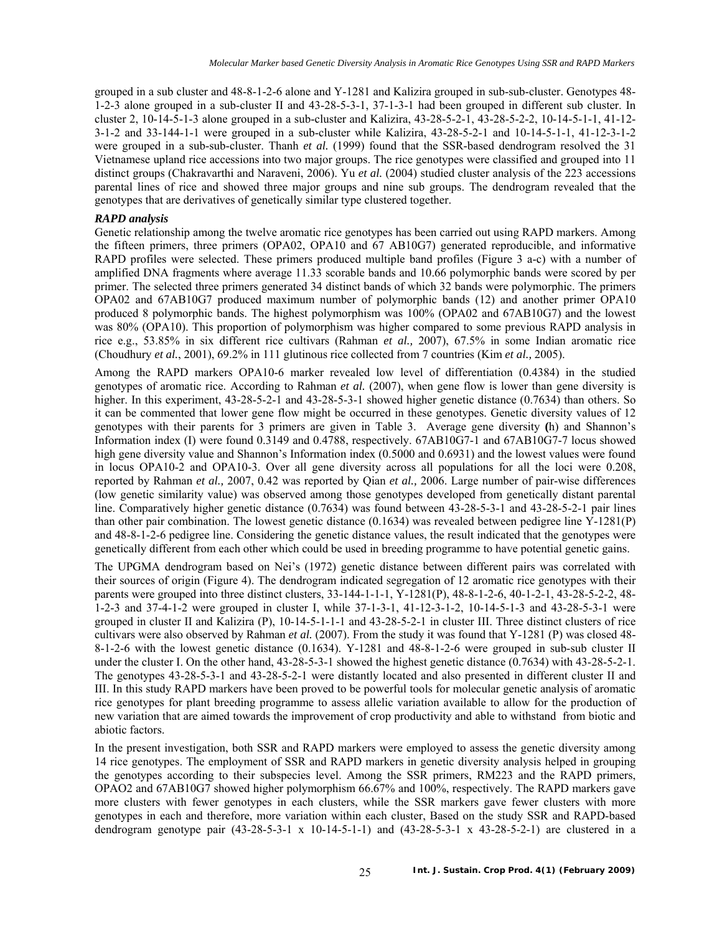grouped in a sub cluster and 48-8-1-2-6 alone and Y-1281 and Kalizira grouped in sub-sub-cluster. Genotypes 48- 1-2-3 alone grouped in a sub-cluster II and 43-28-5-3-1, 37-1-3-1 had been grouped in different sub cluster. In cluster 2, 10-14-5-1-3 alone grouped in a sub-cluster and Kalizira, 43-28-5-2-1, 43-28-5-2-2, 10-14-5-1-1, 41-12- 3-1-2 and 33-144-1-1 were grouped in a sub-cluster while Kalizira, 43-28-5-2-1 and 10-14-5-1-1, 41-12-3-1-2 were grouped in a sub-sub-cluster. Thanh *et al.* (1999) found that the SSR-based dendrogram resolved the 31 Vietnamese upland rice accessions into two major groups. The rice genotypes were classified and grouped into 11 distinct groups (Chakravarthi and Naraveni, 2006). Yu *et al.* (2004) studied cluster analysis of the 223 accessions parental lines of rice and showed three major groups and nine sub groups. The dendrogram revealed that the genotypes that are derivatives of genetically similar type clustered together.

#### *RAPD analysis*

Genetic relationship among the twelve aromatic rice genotypes has been carried out using RAPD markers. Among the fifteen primers, three primers (OPA02, OPA10 and 67 AB10G7) generated reproducible, and informative RAPD profiles were selected. These primers produced multiple band profiles (Figure 3 a-c) with a number of amplified DNA fragments where average 11.33 scorable bands and 10.66 polymorphic bands were scored by per primer. The selected three primers generated 34 distinct bands of which 32 bands were polymorphic. The primers OPA02 and 67AB10G7 produced maximum number of polymorphic bands (12) and another primer OPA10 produced 8 polymorphic bands. The highest polymorphism was 100% (OPA02 and 67AB10G7) and the lowest was 80% (OPA10). This proportion of polymorphism was higher compared to some previous RAPD analysis in rice e.g., 53.85% in six different rice cultivars (Rahman *et al.,* 2007), 67.5% in some Indian aromatic rice (Choudhury *et al.*, 2001), 69.2% in 111 glutinous rice collected from 7 countries (Kim *et al.,* 2005).

Among the RAPD markers OPA10-6 marker revealed low level of differentiation (0.4384) in the studied genotypes of aromatic rice. According to Rahman *et al.* (2007), when gene flow is lower than gene diversity is higher. In this experiment,  $43-28-5-2-1$  and  $43-28-5-3-1$  showed higher genetic distance (0.7634) than others. So it can be commented that lower gene flow might be occurred in these genotypes. Genetic diversity values of 12 genotypes with their parents for 3 primers are given in Table 3. Average gene diversity **(**h) and Shannon's Information index (I) were found 0.3149 and 0.4788, respectively. 67AB10G7-1 and 67AB10G7-7 locus showed high gene diversity value and Shannon's Information index (0.5000 and 0.6931) and the lowest values were found in locus OPA10-2 and OPA10-3. Over all gene diversity across all populations for all the loci were 0.208, reported by Rahman *et al.,* 2007, 0.42 was reported by Qian *et al.,* 2006. Large number of pair-wise differences (low genetic similarity value) was observed among those genotypes developed from genetically distant parental line. Comparatively higher genetic distance (0.7634) was found between 43-28-5-3-1 and 43-28-5-2-1 pair lines than other pair combination. The lowest genetic distance (0.1634) was revealed between pedigree line Y-1281(P) and 48-8-1-2-6 pedigree line. Considering the genetic distance values, the result indicated that the genotypes were genetically different from each other which could be used in breeding programme to have potential genetic gains.

The UPGMA dendrogram based on Nei's (1972) genetic distance between different pairs was correlated with their sources of origin (Figure 4). The dendrogram indicated segregation of 12 aromatic rice genotypes with their parents were grouped into three distinct clusters, 33-144-1-1-1, Y-1281(P), 48-8-1-2-6, 40-1-2-1, 43-28-5-2-2, 48- 1-2-3 and 37-4-1-2 were grouped in cluster I, while 37-1-3-1, 41-12-3-1-2, 10-14-5-1-3 and 43-28-5-3-1 were grouped in cluster II and Kalizira (P), 10-14-5-1-1-1 and 43-28-5-2-1 in cluster III. Three distinct clusters of rice cultivars were also observed by Rahman *et al.* (2007). From the study it was found that Y-1281 (P) was closed 48- 8-1-2-6 with the lowest genetic distance (0.1634). Y-1281 and 48-8-1-2-6 were grouped in sub-sub cluster II under the cluster I. On the other hand, 43-28-5-3-1 showed the highest genetic distance (0.7634) with 43-28-5-2-1. The genotypes 43-28-5-3-1 and 43-28-5-2-1 were distantly located and also presented in different cluster II and III. In this study RAPD markers have been proved to be powerful tools for molecular genetic analysis of aromatic rice genotypes for plant breeding programme to assess allelic variation available to allow for the production of new variation that are aimed towards the improvement of crop productivity and able to withstand from biotic and abiotic factors.

In the present investigation, both SSR and RAPD markers were employed to assess the genetic diversity among 14 rice genotypes. The employment of SSR and RAPD markers in genetic diversity analysis helped in grouping the genotypes according to their subspecies level. Among the SSR primers, RM223 and the RAPD primers, OPAO2 and 67AB10G7 showed higher polymorphism 66.67% and 100%, respectively. The RAPD markers gave more clusters with fewer genotypes in each clusters, while the SSR markers gave fewer clusters with more genotypes in each and therefore, more variation within each cluster, Based on the study SSR and RAPD-based dendrogram genotype pair (43-28-5-3-1 x 10-14-5-1-1) and (43-28-5-3-1 x 43-28-5-2-1) are clustered in a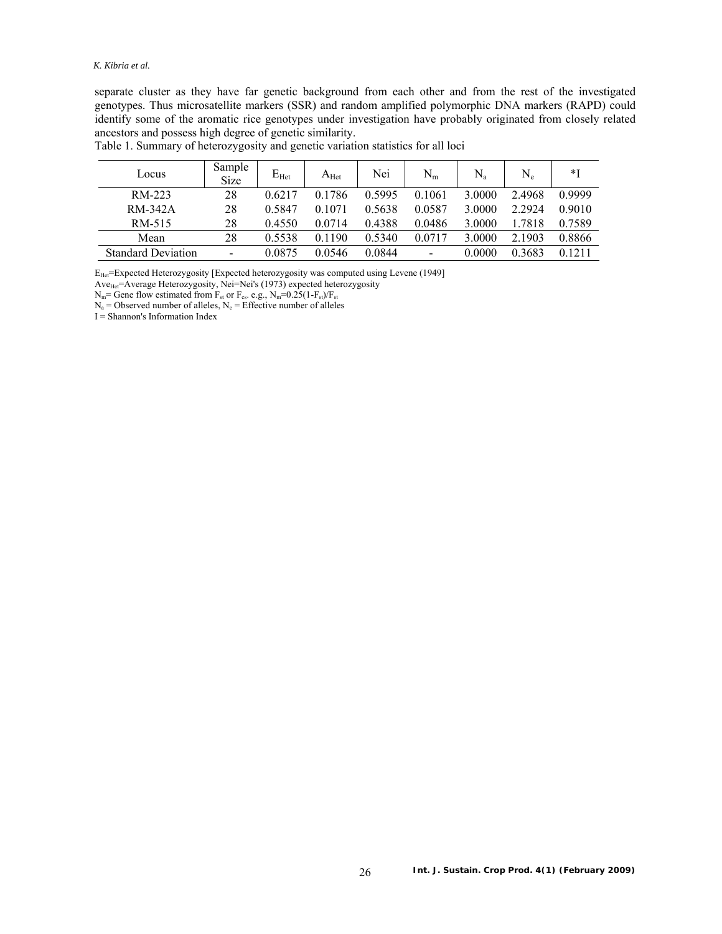#### *K. Kibria et al.*

separate cluster as they have far genetic background from each other and from the rest of the investigated genotypes. Thus microsatellite markers (SSR) and random amplified polymorphic DNA markers (RAPD) could identify some of the aromatic rice genotypes under investigation have probably originated from closely related ancestors and possess high degree of genetic similarity.

| Locus                     | Sample<br><b>Size</b> | $E_{Het}$ | $A_{\rm Het}$ | Nei    | $N_m$  | $\rm N_a$ | $\rm N_e$ | *I     |
|---------------------------|-----------------------|-----------|---------------|--------|--------|-----------|-----------|--------|
| RM-223                    | 28                    | 0.6217    | 0.1786        | 0.5995 | 0.1061 | 3.0000    | 2.4968    | 0.9999 |
| RM-342A                   | 28                    | 0.5847    | 0.1071        | 0.5638 | 0.0587 | 3.0000    | 2.2924    | 0.9010 |
| RM-515                    | 28                    | 0.4550    | 0.0714        | 0.4388 | 0.0486 | 3.0000    | 1.7818    | 0.7589 |
| Mean                      | 28                    | 0.5538    | 0.1190        | 0.5340 | 0.0717 | 3.0000    | 2.1903    | 0.8866 |
| <b>Standard Deviation</b> | -                     | 0.0875    | 0.0546        | 0.0844 | -      | 0.0000    | 0.3683    | 0.1211 |

Table 1. Summary of heterozygosity and genetic variation statistics for all loci

EHet=Expected Heterozygosity [Expected heterozygosity was computed using Levene (1949]

Ave<sub>Het</sub>=Average Heterozygosity, Nei=Nei's (1973) expected heterozygosity

 $N_m$ = Gene flow estimated from  $F_{st}$  or  $F_{cs}$ . e.g.,  $N_m$ =0.25(1- $F_{st}$ )/ $F_{st}$ 

 $N_a$  = Observed number of alleles,  $N_e$  = Effective number of alleles

 $I =$ Shannon's Information Index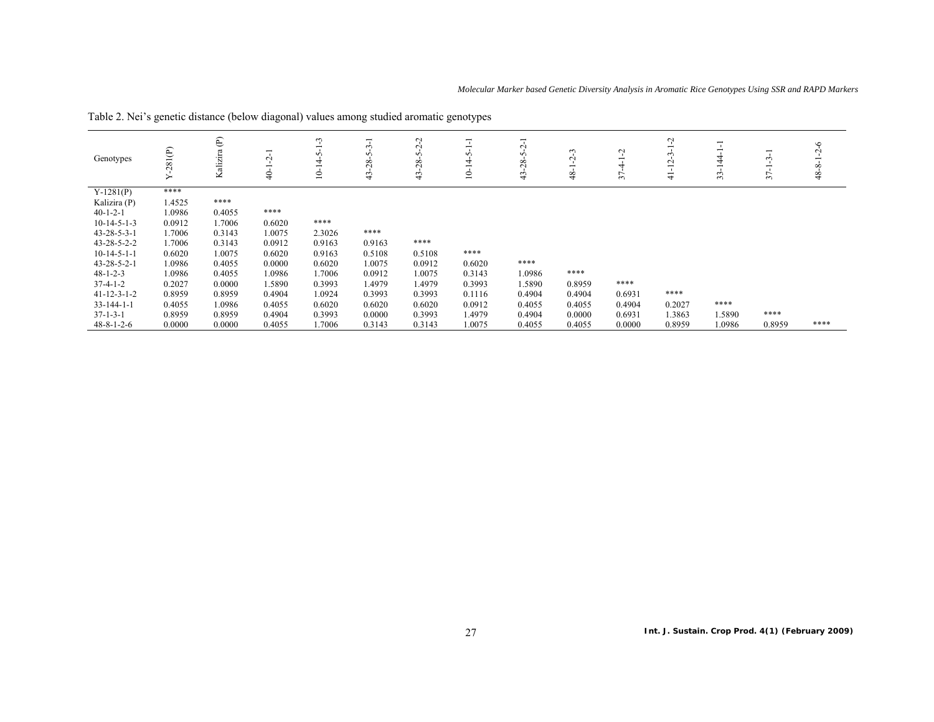| Genotypes             | 281(P) | $\widehat{\mathbb{E}}$<br>Kalizira | $\mathbf{\sim}$<br>ុ | ن<br>ᅮ<br>ç<br>후<br>≘ | $\sim$<br>$\sim$<br>$^{28}$<br>43 | ೆ<br>بہ<br>ᠭ<br>28<br>$43 -$ | ∊      | ᅮ<br>Ņ<br><b>ب</b><br>28<br>$\ddot{4}$ | $\epsilon$<br>$\mathbf{\sim}$<br>\$ | Ļ<br>$\overline{\phantom{0}}$<br>37 | ೆ<br>$\sim$<br>4 | 44<br>-<br>33 | $\sim$<br>∼<br>$\sim$ | $\circ$<br>$\sim$<br>∾<br>$\frac{8}{3}$ |
|-----------------------|--------|------------------------------------|----------------------|-----------------------|-----------------------------------|------------------------------|--------|----------------------------------------|-------------------------------------|-------------------------------------|------------------|---------------|-----------------------|-----------------------------------------|
| $Y-1281(P)$           | ****   |                                    |                      |                       |                                   |                              |        |                                        |                                     |                                     |                  |               |                       |                                         |
| Kalizira (P)          | 1.4525 | ****                               |                      |                       |                                   |                              |        |                                        |                                     |                                     |                  |               |                       |                                         |
| $40-1-2-1$            | 1.0986 | 0.4055                             | ****                 |                       |                                   |                              |        |                                        |                                     |                                     |                  |               |                       |                                         |
| $10-14-5-1-3$         | 0.0912 | 1.7006                             | 0.6020               | ****                  |                                   |                              |        |                                        |                                     |                                     |                  |               |                       |                                         |
| $43 - 28 - 5 - 3 - 1$ | .7006  | 0.3143                             | 1.0075               | 2.3026                | ****                              |                              |        |                                        |                                     |                                     |                  |               |                       |                                         |
| 43-28-5-2-2           | 1.7006 | 0.3143                             | 0.0912               | 0.9163                | 0.9163                            | ****                         |        |                                        |                                     |                                     |                  |               |                       |                                         |
| $10-14-5-1-1$         | 0.6020 | 1.0075                             | 0.6020               | 0.9163                | 0.5108                            | 0.5108                       | ****   |                                        |                                     |                                     |                  |               |                       |                                         |
| $43 - 28 - 5 - 2 - 1$ | 1.0986 | 0.4055                             | 0.0000               | 0.6020                | 1.0075                            | 0.0912                       | 0.6020 | ****                                   |                                     |                                     |                  |               |                       |                                         |
| $48 - 1 - 2 - 3$      | 1.0986 | 0.4055                             | 1.0986               | 1.7006                | 0.0912                            | 1.0075                       | 0.3143 | 1.0986                                 | ****                                |                                     |                  |               |                       |                                         |
| $37 - 4 - 1 - 2$      | 0.2027 | 0.0000                             | 1.5890               | 0.3993                | 1.4979                            | 1.4979                       | 0.3993 | 1.5890                                 | 0.8959                              | ****                                |                  |               |                       |                                         |
| $41 - 12 - 3 - 1 - 2$ | 0.8959 | 0.8959                             | 0.4904               | 1.0924                | 0.3993                            | 0.3993                       | 0.1116 | 0.4904                                 | 0.4904                              | 0.6931                              | ****             |               |                       |                                         |
| $33 - 144 - 1 - 1$    | 0.4055 | 1.0986                             | 0.4055               | 0.6020                | 0.6020                            | 0.6020                       | 0.0912 | 0.4055                                 | 0.4055                              | 0.4904                              | 0.2027           | ****          |                       |                                         |
| $37 - 1 - 3 - 1$      | 0.8959 | 0.8959                             | 0.4904               | 0.3993                | 0.0000                            | 0.3993                       | 1.4979 | 0.4904                                 | 0.0000                              | 0.6931                              | 1.3863           | 1.5890        | ****                  |                                         |
| $48 - 8 - 1 - 2 - 6$  | 0.0000 | 0.0000                             | 0.4055               | .7006                 | 0.3143                            | 0.3143                       | 1.0075 | 0.4055                                 | 0.4055                              | 0.0000                              | 0.8959           | 1.0986        | 0.8959                | ****                                    |

Table 2. Nei's genetic distance (below diagonal) values among studied aromatic genotypes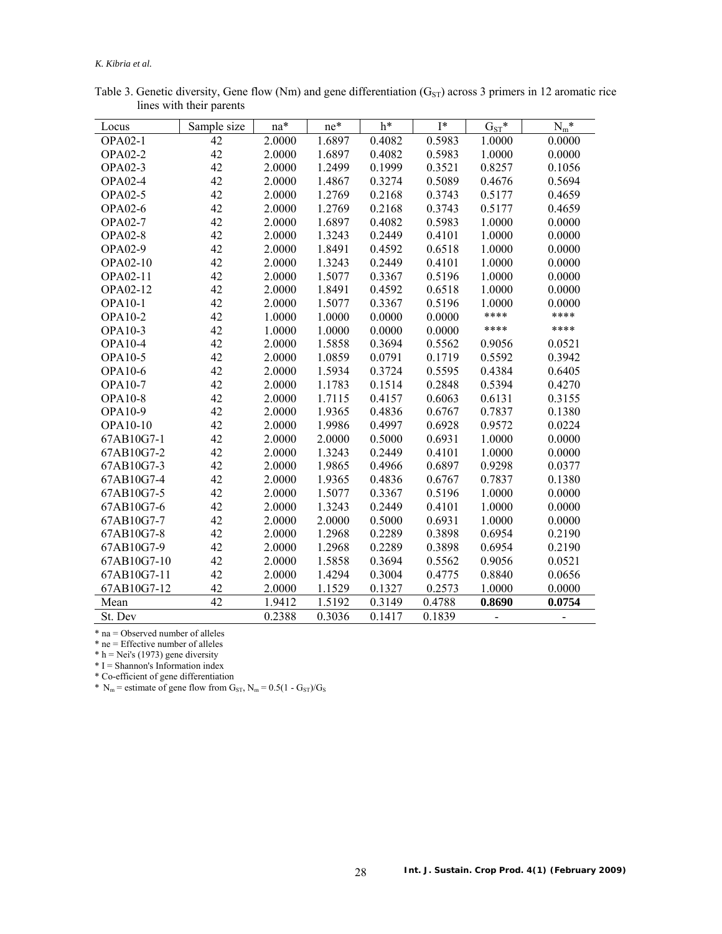#### *K. Kibria et al.*

| Locus          | Sample size | na*    | ne*    | h*     | $I^*$  | $G_{ST}$ * | $N_m^*$ |
|----------------|-------------|--------|--------|--------|--------|------------|---------|
| <b>OPA02-1</b> | 42          | 2.0000 | 1.6897 | 0.4082 | 0.5983 | 1.0000     | 0.0000  |
| <b>OPA02-2</b> | 42          | 2.0000 | 1.6897 | 0.4082 | 0.5983 | 1.0000     | 0.0000  |
| <b>OPA02-3</b> | 42          | 2.0000 | 1.2499 | 0.1999 | 0.3521 | 0.8257     | 0.1056  |
| <b>OPA02-4</b> | 42          | 2.0000 | 1.4867 | 0.3274 | 0.5089 | 0.4676     | 0.5694  |
| <b>OPA02-5</b> | 42          | 2.0000 | 1.2769 | 0.2168 | 0.3743 | 0.5177     | 0.4659  |
| <b>OPA02-6</b> | 42          | 2.0000 | 1.2769 | 0.2168 | 0.3743 | 0.5177     | 0.4659  |
| <b>OPA02-7</b> | 42          | 2.0000 | 1.6897 | 0.4082 | 0.5983 | 1.0000     | 0.0000  |
| <b>OPA02-8</b> | 42          | 2.0000 | 1.3243 | 0.2449 | 0.4101 | 1.0000     | 0.0000  |
| <b>OPA02-9</b> | 42          | 2.0000 | 1.8491 | 0.4592 | 0.6518 | 1.0000     | 0.0000  |
| OPA02-10       | 42          | 2.0000 | 1.3243 | 0.2449 | 0.4101 | 1.0000     | 0.0000  |
| OPA02-11       | 42          | 2.0000 | 1.5077 | 0.3367 | 0.5196 | 1.0000     | 0.0000  |
| OPA02-12       | 42          | 2.0000 | 1.8491 | 0.4592 | 0.6518 | 1.0000     | 0.0000  |
| <b>OPA10-1</b> | 42          | 2.0000 | 1.5077 | 0.3367 | 0.5196 | 1.0000     | 0.0000  |
| OPA10-2        | 42          | 1.0000 | 1.0000 | 0.0000 | 0.0000 | ****       | ****    |
| OPA10-3        | 42          | 1.0000 | 1.0000 | 0.0000 | 0.0000 | ****       | ****    |
| <b>OPA10-4</b> | 42          | 2.0000 | 1.5858 | 0.3694 | 0.5562 | 0.9056     | 0.0521  |
| <b>OPA10-5</b> | 42          | 2.0000 | 1.0859 | 0.0791 | 0.1719 | 0.5592     | 0.3942  |
| <b>OPA10-6</b> | 42          | 2.0000 | 1.5934 | 0.3724 | 0.5595 | 0.4384     | 0.6405  |
| <b>OPA10-7</b> | 42          | 2.0000 | 1.1783 | 0.1514 | 0.2848 | 0.5394     | 0.4270  |
| <b>OPA10-8</b> | 42          | 2.0000 | 1.7115 | 0.4157 | 0.6063 | 0.6131     | 0.3155  |
| OPA10-9        | 42          | 2.0000 | 1.9365 | 0.4836 | 0.6767 | 0.7837     | 0.1380  |
| OPA10-10       | 42          | 2.0000 | 1.9986 | 0.4997 | 0.6928 | 0.9572     | 0.0224  |
| 67AB10G7-1     | 42          | 2.0000 | 2.0000 | 0.5000 | 0.6931 | 1.0000     | 0.0000  |
| 67AB10G7-2     | 42          | 2.0000 | 1.3243 | 0.2449 | 0.4101 | 1.0000     | 0.0000  |
| 67AB10G7-3     | 42          | 2.0000 | 1.9865 | 0.4966 | 0.6897 | 0.9298     | 0.0377  |
| 67AB10G7-4     | 42          | 2.0000 | 1.9365 | 0.4836 | 0.6767 | 0.7837     | 0.1380  |
| 67AB10G7-5     | 42          | 2.0000 | 1.5077 | 0.3367 | 0.5196 | 1.0000     | 0.0000  |
| 67AB10G7-6     | 42          | 2.0000 | 1.3243 | 0.2449 | 0.4101 | 1.0000     | 0.0000  |
| 67AB10G7-7     | 42          | 2.0000 | 2.0000 | 0.5000 | 0.6931 | 1.0000     | 0.0000  |
| 67AB10G7-8     | 42          | 2.0000 | 1.2968 | 0.2289 | 0.3898 | 0.6954     | 0.2190  |
| 67AB10G7-9     | 42          | 2.0000 | 1.2968 | 0.2289 | 0.3898 | 0.6954     | 0.2190  |
| 67AB10G7-10    | 42          | 2.0000 | 1.5858 | 0.3694 | 0.5562 | 0.9056     | 0.0521  |
| 67AB10G7-11    | 42          | 2.0000 | 1.4294 | 0.3004 | 0.4775 | 0.8840     | 0.0656  |
| 67AB10G7-12    | 42          | 2.0000 | 1.1529 | 0.1327 | 0.2573 | 1.0000     | 0.0000  |
| Mean           | 42          | 1.9412 | 1.5192 | 0.3149 | 0.4788 | 0.8690     | 0.0754  |
| St. Dev        |             | 0.2388 | 0.3036 | 0.1417 | 0.1839 |            |         |

Table 3. Genetic diversity, Gene flow (Nm) and gene differentiation ( $G_{ST}$ ) across 3 primers in 12 aromatic rice lines with their parents

\* na = Observed number of alleles

\* ne = Effective number of alleles

 $* h = Nei's (1973)$  gene diversity

 $* I = Shannon's Information index$ 

\* Co-efficient of gene differentiation

\*  $N_m$  = estimate of gene flow from G<sub>ST</sub>,  $N_m$  = 0.5(1 - G<sub>ST</sub>)/G<sub>S</sub>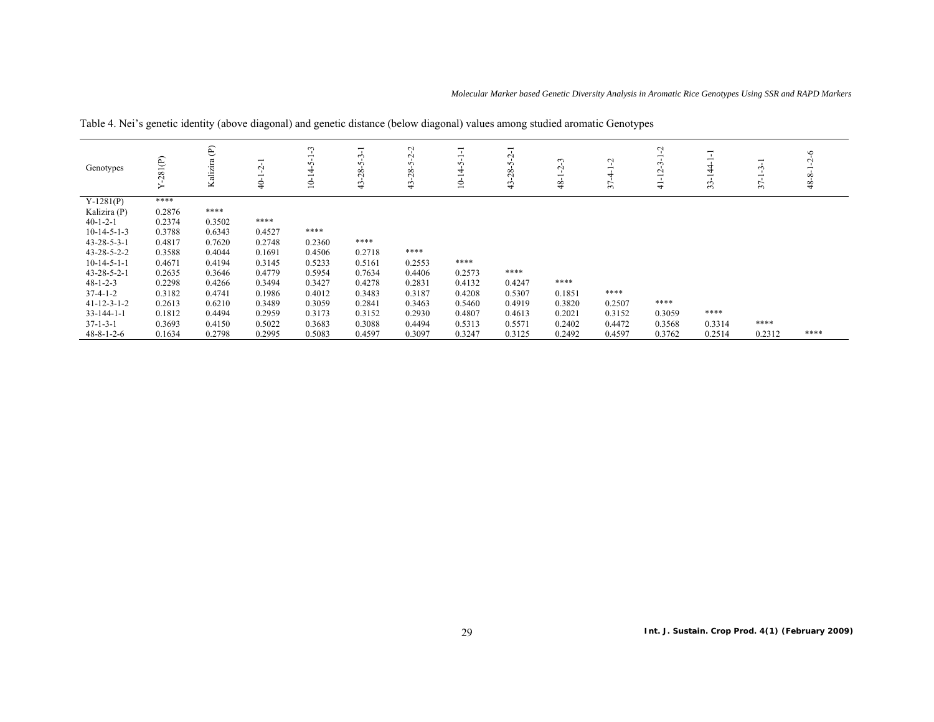| Genotypes             | 281(P)<br>≻ | Kalizira (P) | $\sim$<br>1<br>\$ | ొ<br>$\overline{\phantom{0}}$<br>n<br>4<br>$\overline{\phantom{0}}$<br>$\approx$ | 루<br>ب<br>$\sim$<br>28<br>$\ddot{4}$ | Ņ<br>Ņ<br>n<br>28.<br>$\ddot{4}$ | $\overline{\phantom{0}}$<br>$\overline{\phantom{0}}$<br>n<br>4<br>$\overline{\phantom{0}}$<br>$\dot{\Xi}$ | Ņ<br>n<br>$^{28}$<br>$\frac{4}{3}$ | ొ<br>$\sim$<br>$\overline{\phantom{0}}$<br>$\frac{8}{4}$ | $\mathbf{\sim}$<br>4<br>37 | Ļ<br>ٺ<br>$\sim$<br>루<br>$\frac{1}{4}$ | $\overline{4}$<br>33 | $\overline{\phantom{0}}$<br>$\sim$<br>$\overline{\phantom{0}}$<br>37 | $\circ$<br>$\sim$<br>$\infty$<br>$\frac{8}{3}$ |
|-----------------------|-------------|--------------|-------------------|----------------------------------------------------------------------------------|--------------------------------------|----------------------------------|-----------------------------------------------------------------------------------------------------------|------------------------------------|----------------------------------------------------------|----------------------------|----------------------------------------|----------------------|----------------------------------------------------------------------|------------------------------------------------|
| $Y-1281(P)$           | ****        |              |                   |                                                                                  |                                      |                                  |                                                                                                           |                                    |                                                          |                            |                                        |                      |                                                                      |                                                |
| Kalizira (P)          | 0.2876      | ****         |                   |                                                                                  |                                      |                                  |                                                                                                           |                                    |                                                          |                            |                                        |                      |                                                                      |                                                |
| $40-1-2-1$            | 0.2374      | 0.3502       | ****              |                                                                                  |                                      |                                  |                                                                                                           |                                    |                                                          |                            |                                        |                      |                                                                      |                                                |
| $10-14-5-1-3$         | 0.3788      | 0.6343       | 0.4527            | ****                                                                             |                                      |                                  |                                                                                                           |                                    |                                                          |                            |                                        |                      |                                                                      |                                                |
| $43 - 28 - 5 - 3 - 1$ | 0.4817      | 0.7620       | 0.2748            | 0.2360                                                                           | ****                                 |                                  |                                                                                                           |                                    |                                                          |                            |                                        |                      |                                                                      |                                                |
| 43-28-5-2-2           | 0.3588      | 0.4044       | 0.1691            | 0.4506                                                                           | 0.2718                               | ****                             |                                                                                                           |                                    |                                                          |                            |                                        |                      |                                                                      |                                                |
| $10-14-5-1-1$         | 0.4671      | 0.4194       | 0.3145            | 0.5233                                                                           | 0.5161                               | 0.2553                           | ****                                                                                                      |                                    |                                                          |                            |                                        |                      |                                                                      |                                                |
| $43 - 28 - 5 - 2 - 1$ | 0.2635      | 0.3646       | 0.4779            | 0.5954                                                                           | 0.7634                               | 0.4406                           | 0.2573                                                                                                    | ****                               |                                                          |                            |                                        |                      |                                                                      |                                                |
| $48 - 1 - 2 - 3$      | 0.2298      | 0.4266       | 0.3494            | 0.3427                                                                           | 0.4278                               | 0.2831                           | 0.4132                                                                                                    | 0.4247                             | ****                                                     |                            |                                        |                      |                                                                      |                                                |
| $37-4-1-2$            | 0.3182      | 0.4741       | 0.1986            | 0.4012                                                                           | 0.3483                               | 0.3187                           | 0.4208                                                                                                    | 0.5307                             | 0.1851                                                   | ****                       |                                        |                      |                                                                      |                                                |
| $41 - 12 - 3 - 1 - 2$ | 0.2613      | 0.6210       | 0.3489            | 0.3059                                                                           | 0.2841                               | 0.3463                           | 0.5460                                                                                                    | 0.4919                             | 0.3820                                                   | 0.2507                     | ****                                   |                      |                                                                      |                                                |
| $33 - 144 - 1 - 1$    | 0.1812      | 0.4494       | 0.2959            | 0.3173                                                                           | 0.3152                               | 0.2930                           | 0.4807                                                                                                    | 0.4613                             | 0.2021                                                   | 0.3152                     | 0.3059                                 | ****                 |                                                                      |                                                |
| $37 - 1 - 3 - 1$      | 0.3693      | 0.4150       | 0.5022            | 0.3683                                                                           | 0.3088                               | 0.4494                           | 0.5313                                                                                                    | 0.5571                             | 0.2402                                                   | 0.4472                     | 0.3568                                 | 0.3314               | ****                                                                 |                                                |
| $48 - 8 - 1 - 2 - 6$  | 0.1634      | 0.2798       | 0.2995            | 0.5083                                                                           | 0.4597                               | 0.3097                           | 0.3247                                                                                                    | 0.3125                             | 0.2492                                                   | 0.4597                     | 0.3762                                 | 0.2514               | 0.2312                                                               | ****                                           |

Table 4. Nei's genetic identity (above diagonal) and genetic distance (below diagonal) values among studied aromatic Genotypes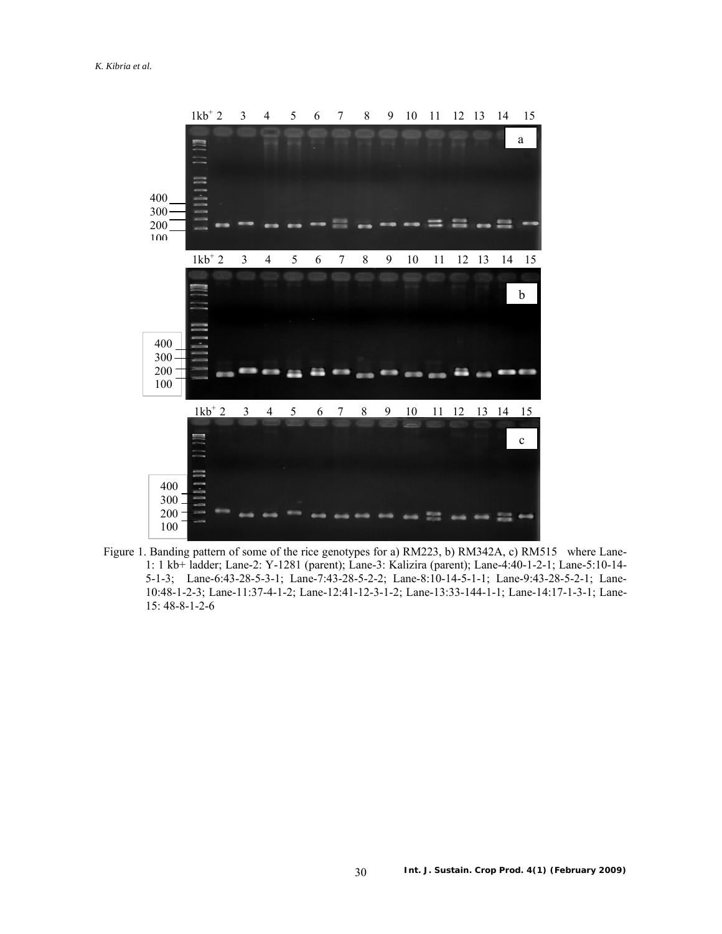

 Figure 1. Banding pattern of some of the rice genotypes for a) RM223, b) RM342A, c) RM515 where Lane-1: 1 kb+ ladder; Lane-2: Y-1281 (parent); Lane-3: Kalizira (parent); Lane-4:40-1-2-1; Lane-5:10-14- 5-1-3; Lane-6:43-28-5-3-1; Lane-7:43-28-5-2-2; Lane-8:10-14-5-1-1; Lane-9:43-28-5-2-1; Lane-10:48-1-2-3; Lane-11:37-4-1-2; Lane-12:41-12-3-1-2; Lane-13:33-144-1-1; Lane-14:17-1-3-1; Lane-15: 48-8-1-2-6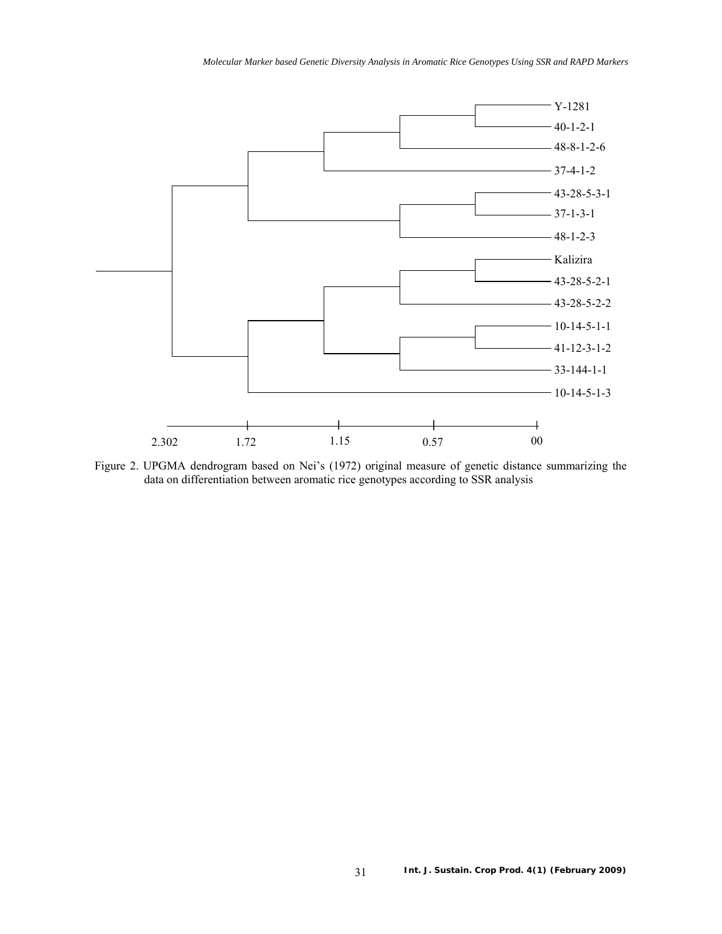

Figure 2. UPGMA dendrogram based on Nei's (1972) original measure of genetic distance summarizing the data on differentiation between aromatic rice genotypes according to SSR analysis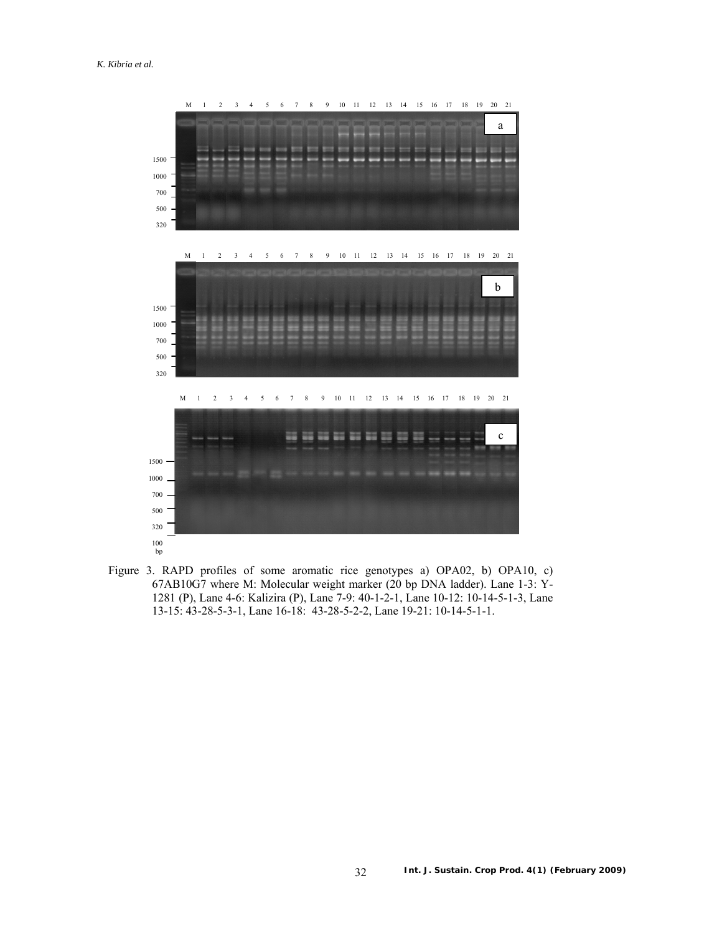

 Figure 3. RAPD profiles of some aromatic rice genotypes a) OPA02, b) OPA10, c) 67AB10G7 where M: Molecular weight marker (20 bp DNA ladder). Lane 1-3: Y-1281 (P), Lane 4-6: Kalizira (P), Lane 7-9: 40-1-2-1, Lane 10-12: 10-14-5-1-3, Lane 13-15: 43-28-5-3-1, Lane 16-18: 43-28-5-2-2, Lane 19-21: 10-14-5-1-1.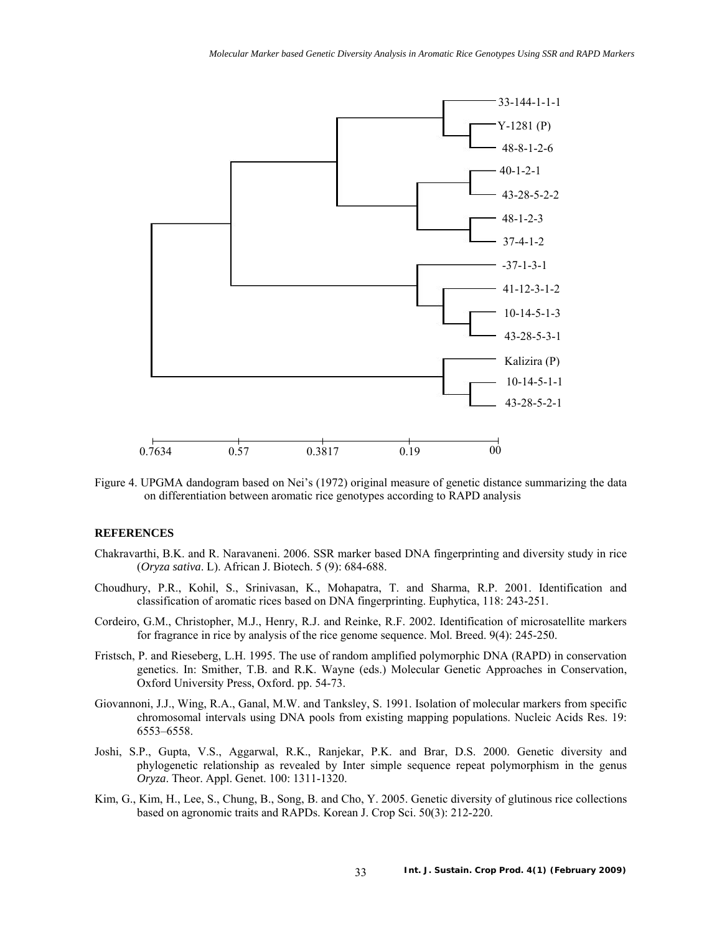

Figure 4. UPGMA dandogram based on Nei's (1972) original measure of genetic distance summarizing the data on differentiation between aromatic rice genotypes according to RAPD analysis

# **REFERENCES**

- Chakravarthi, B.K. and R. Naravaneni. 2006. SSR marker based DNA fingerprinting and diversity study in rice (*Oryza sativa*. L). African J. Biotech. 5 (9): 684-688.
- Choudhury, P.R., Kohil, S., Srinivasan, K., Mohapatra, T. and Sharma, R.P. 2001. Identification and classification of aromatic rices based on DNA fingerprinting. Euphytica, 118: 243-251.
- Cordeiro, G.M., Christopher, M.J., Henry, R.J. and Reinke, R.F. 2002. Identification of microsatellite markers for fragrance in rice by analysis of the rice genome sequence. Mol. Breed. 9(4): 245-250.
- Fristsch, P. and Rieseberg, L.H. 1995. The use of random amplified polymorphic DNA (RAPD) in conservation genetics. In: Smither, T.B. and R.K. Wayne (eds.) Molecular Genetic Approaches in Conservation, Oxford University Press, Oxford. pp. 54-73.
- Giovannoni, J.J., Wing, R.A., Ganal, M.W. and Tanksley, S. 1991. Isolation of molecular markers from specific chromosomal intervals using DNA pools from existing mapping populations. Nucleic Acids Res. 19: 6553–6558.
- Joshi, S.P., Gupta, V.S., Aggarwal, R.K., Ranjekar, P.K. and Brar, D.S. 2000. Genetic diversity and phylogenetic relationship as revealed by Inter simple sequence repeat polymorphism in the genus *Oryza*. Theor. Appl. Genet. 100: 1311-1320.
- Kim, G., Kim, H., Lee, S., Chung, B., Song, B. and Cho, Y. 2005. Genetic diversity of glutinous rice collections based on agronomic traits and RAPDs. Korean J. Crop Sci. 50(3): 212-220.